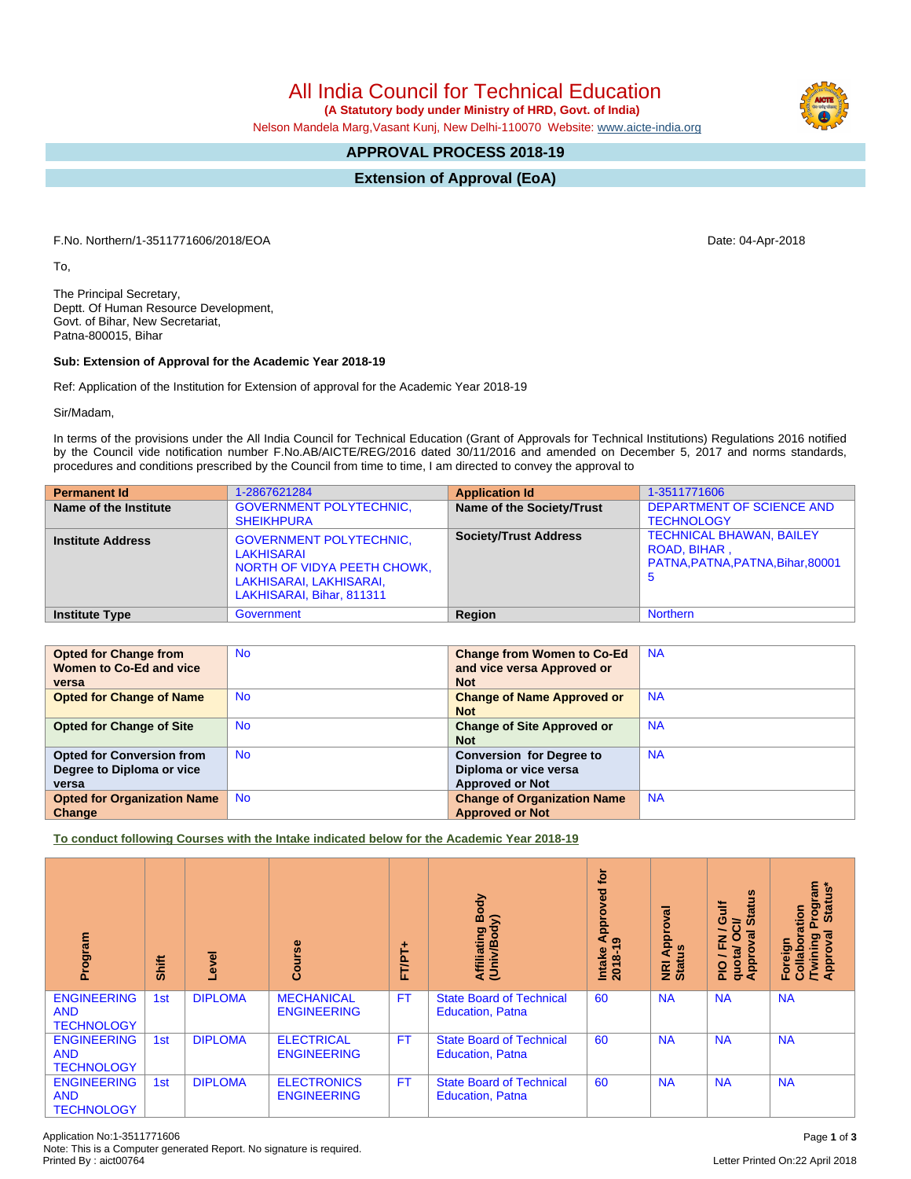All India Council for Technical Education

 **(A Statutory body under Ministry of HRD, Govt. of India)**

Nelson Mandela Marg,Vasant Kunj, New Delhi-110070 Website: [www.aicte-india.org](http://www.aicte-india.org)

## **APPROVAL PROCESS 2018-19**

**Extension of Approval (EoA)**

F.No. Northern/1-3511771606/2018/EOA Date: 04-Apr-2018

To,

The Principal Secretary, Deptt. Of Human Resource Development, Govt. of Bihar, New Secretariat, Patna-800015, Bihar

## **Sub: Extension of Approval for the Academic Year 2018-19**

Ref: Application of the Institution for Extension of approval for the Academic Year 2018-19

Sir/Madam,

In terms of the provisions under the All India Council for Technical Education (Grant of Approvals for Technical Institutions) Regulations 2016 notified by the Council vide notification number F.No.AB/AICTE/REG/2016 dated 30/11/2016 and amended on December 5, 2017 and norms standards, procedures and conditions prescribed by the Council from time to time, I am directed to convey the approval to

| <b>Permanent Id</b>      | 1-2867621284                                                                                                                        | <b>Application Id</b>        | 1-3511771606                                                                               |
|--------------------------|-------------------------------------------------------------------------------------------------------------------------------------|------------------------------|--------------------------------------------------------------------------------------------|
| Name of the Institute    | <b>GOVERNMENT POLYTECHNIC,</b><br><b>SHEIKHPURA</b>                                                                                 | Name of the Society/Trust    | <b>DEPARTMENT OF SCIENCE AND</b><br><b>TECHNOLOGY</b>                                      |
| <b>Institute Address</b> | <b>GOVERNMENT POLYTECHNIC,</b><br>LAKHISARAI<br>NORTH OF VIDYA PEETH CHOWK,<br>LAKHISARAI, LAKHISARAI,<br>LAKHISARAI, Bihar, 811311 | <b>Society/Trust Address</b> | <b>TECHNICAL BHAWAN, BAILEY</b><br>ROAD, BIHAR,<br>PATNA, PATNA, PATNA, Bihar, 80001<br>-5 |
| <b>Institute Type</b>    | Government                                                                                                                          | Region                       | <b>Northern</b>                                                                            |

| <b>Opted for Change from</b>       | <b>No</b> | <b>Change from Women to Co-Ed</b>  | <b>NA</b> |
|------------------------------------|-----------|------------------------------------|-----------|
| Women to Co-Ed and vice            |           | and vice versa Approved or         |           |
| versa                              |           | <b>Not</b>                         |           |
| <b>Opted for Change of Name</b>    | <b>No</b> | <b>Change of Name Approved or</b>  | <b>NA</b> |
|                                    |           | <b>Not</b>                         |           |
| <b>Opted for Change of Site</b>    | <b>No</b> | <b>Change of Site Approved or</b>  | <b>NA</b> |
|                                    |           | <b>Not</b>                         |           |
| <b>Opted for Conversion from</b>   | <b>No</b> | <b>Conversion for Degree to</b>    | <b>NA</b> |
| Degree to Diploma or vice          |           | Diploma or vice versa              |           |
| versa                              |           | <b>Approved or Not</b>             |           |
| <b>Opted for Organization Name</b> | <b>No</b> | <b>Change of Organization Name</b> | <b>NA</b> |
| Change                             |           | <b>Approved or Not</b>             |           |

**To conduct following Courses with the Intake indicated below for the Academic Year 2018-19**

| Program                                               | Shift | g<br>ق         | rse<br>ලි                                | FT/PT+    | Body<br>$\mathbf{\hat{s}}$<br>Affiliating<br>(Univ/Bod <sub>)</sub> | tor<br>್ಠಾ<br>ႎႍ<br>Appr<br>෧<br>Intake<br>2018-1 | ಸ<br>٥<br>Appr<br><b>NRI Ap</b><br>Status | <b>Status</b><br><b>Jin</b><br>≃<br>ड़<br>c<br>준<br>quotal<br>Approv<br>$\frac{1}{2}$ | rogram<br>Status*<br>oration<br>ন্ত<br>Twining<br>Foreign<br>Collabo<br>۰<br><b>Appr</b> |
|-------------------------------------------------------|-------|----------------|------------------------------------------|-----------|---------------------------------------------------------------------|---------------------------------------------------|-------------------------------------------|---------------------------------------------------------------------------------------|------------------------------------------------------------------------------------------|
| <b>ENGINEERING</b><br><b>AND</b><br><b>TECHNOLOGY</b> | 1st   | <b>DIPLOMA</b> | <b>MECHANICAL</b><br><b>ENGINEERING</b>  | <b>FT</b> | <b>State Board of Technical</b><br><b>Education, Patna</b>          | 60                                                | <b>NA</b>                                 | <b>NA</b>                                                                             | <b>NA</b>                                                                                |
| <b>ENGINEERING</b><br><b>AND</b><br><b>TECHNOLOGY</b> | 1st   | <b>DIPLOMA</b> | <b>ELECTRICAL</b><br><b>ENGINEERING</b>  | <b>FT</b> | <b>State Board of Technical</b><br><b>Education, Patna</b>          | 60                                                | <b>NA</b>                                 | <b>NA</b>                                                                             | <b>NA</b>                                                                                |
| <b>ENGINEERING</b><br><b>AND</b><br><b>TECHNOLOGY</b> | 1st   | <b>DIPLOMA</b> | <b>ELECTRONICS</b><br><b>ENGINEERING</b> | <b>FT</b> | <b>State Board of Technical</b><br><b>Education, Patna</b>          | 60                                                | <b>NA</b>                                 | <b>NA</b>                                                                             | <b>NA</b>                                                                                |

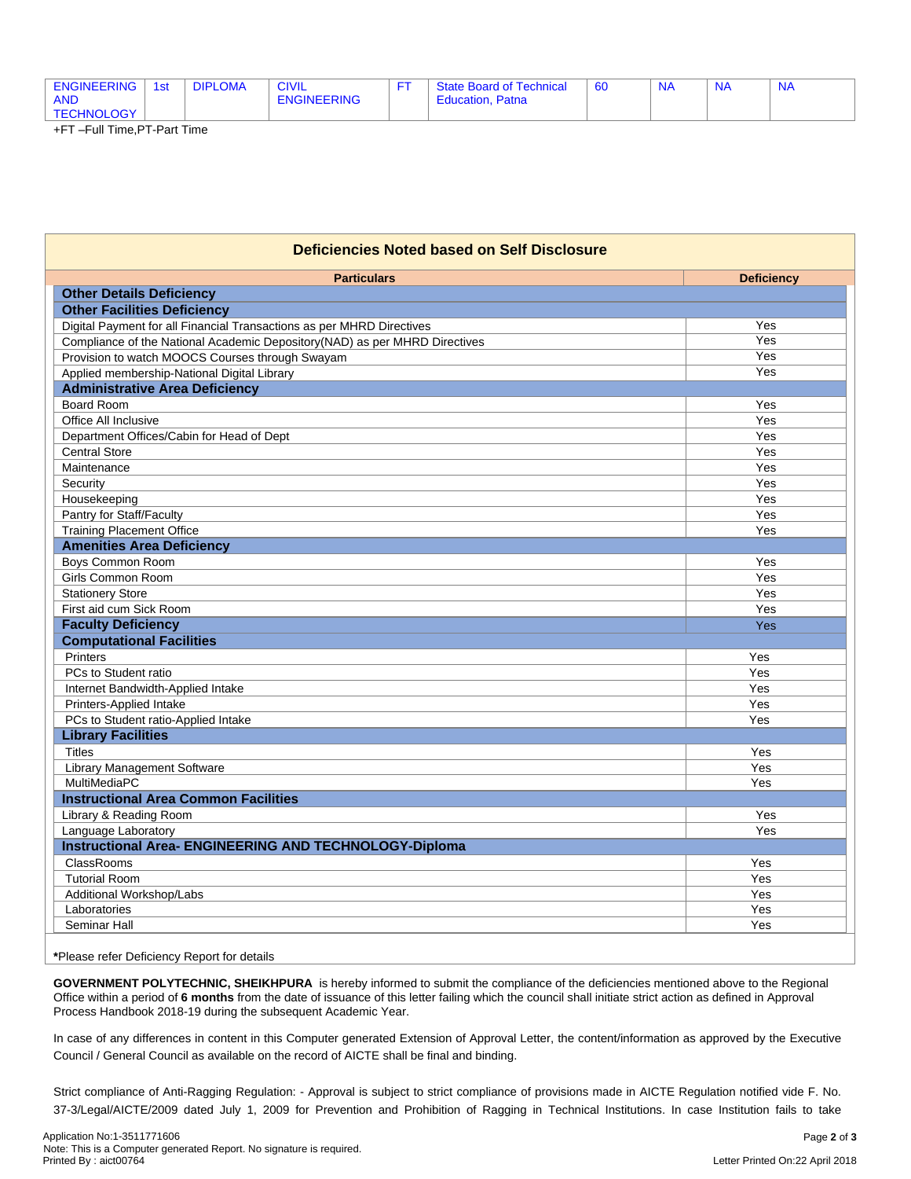| <b>ENGINEERING</b><br><b>AND</b> | 1st | <b>DIPLOMA</b> | <b>CIVIL</b><br><b>ENGINEERING</b> | <b>State Board of Technical</b><br>Patna<br>Education, | 60 | N <sub>f</sub> | N | <b>NA</b> |
|----------------------------------|-----|----------------|------------------------------------|--------------------------------------------------------|----|----------------|---|-----------|
| <b>TECHNOLOGY</b>                |     |                |                                    |                                                        |    |                |   |           |

+FT –Full Time,PT-Part Time

| <b>Deficiencies Noted based on Self Disclosure</b>                         |                   |  |  |  |  |  |
|----------------------------------------------------------------------------|-------------------|--|--|--|--|--|
| <b>Particulars</b>                                                         | <b>Deficiency</b> |  |  |  |  |  |
| <b>Other Details Deficiency</b>                                            |                   |  |  |  |  |  |
| <b>Other Facilities Deficiency</b>                                         |                   |  |  |  |  |  |
| Digital Payment for all Financial Transactions as per MHRD Directives      | Yes               |  |  |  |  |  |
| Compliance of the National Academic Depository(NAD) as per MHRD Directives | Yes               |  |  |  |  |  |
| Provision to watch MOOCS Courses through Swayam                            | Yes               |  |  |  |  |  |
| Applied membership-National Digital Library                                | Yes               |  |  |  |  |  |
| <b>Administrative Area Deficiency</b>                                      |                   |  |  |  |  |  |
| <b>Board Room</b>                                                          | Yes               |  |  |  |  |  |
| Office All Inclusive                                                       | Yes               |  |  |  |  |  |
| Department Offices/Cabin for Head of Dept                                  | Yes               |  |  |  |  |  |
| <b>Central Store</b>                                                       | Yes               |  |  |  |  |  |
| Maintenance                                                                | Yes               |  |  |  |  |  |
| Security                                                                   | Yes               |  |  |  |  |  |
| Housekeeping                                                               | Yes               |  |  |  |  |  |
| Pantry for Staff/Faculty                                                   | Yes<br>Yes        |  |  |  |  |  |
| <b>Training Placement Office</b><br><b>Amenities Area Deficiency</b>       |                   |  |  |  |  |  |
|                                                                            |                   |  |  |  |  |  |
| Boys Common Room                                                           | Yes               |  |  |  |  |  |
| Girls Common Room                                                          | Yes               |  |  |  |  |  |
| <b>Stationery Store</b><br>First aid cum Sick Room                         | Yes<br>Yes        |  |  |  |  |  |
| <b>Faculty Deficiency</b>                                                  |                   |  |  |  |  |  |
|                                                                            | Yes               |  |  |  |  |  |
| <b>Computational Facilities</b><br>Printers                                |                   |  |  |  |  |  |
| PCs to Student ratio                                                       | Yes<br>Yes        |  |  |  |  |  |
| Internet Bandwidth-Applied Intake                                          | Yes               |  |  |  |  |  |
| Printers-Applied Intake                                                    | Yes               |  |  |  |  |  |
| PCs to Student ratio-Applied Intake                                        | Yes               |  |  |  |  |  |
| <b>Library Facilities</b>                                                  |                   |  |  |  |  |  |
| <b>Titles</b>                                                              | Yes               |  |  |  |  |  |
| Library Management Software                                                | Yes               |  |  |  |  |  |
| MultiMediaPC                                                               | Yes               |  |  |  |  |  |
| <b>Instructional Area Common Facilities</b>                                |                   |  |  |  |  |  |
| Library & Reading Room                                                     | Yes               |  |  |  |  |  |
| Language Laboratory                                                        | Yes               |  |  |  |  |  |
| <b>Instructional Area- ENGINEERING AND TECHNOLOGY-Diploma</b>              |                   |  |  |  |  |  |
| ClassRooms                                                                 | Yes               |  |  |  |  |  |
| <b>Tutorial Room</b>                                                       | Yes               |  |  |  |  |  |
| Additional Workshop/Labs                                                   | Yes               |  |  |  |  |  |
| Laboratories                                                               | Yes               |  |  |  |  |  |
| Seminar Hall                                                               | Yes               |  |  |  |  |  |

**\***Please refer Deficiency Report for details

**GOVERNMENT POLYTECHNIC, SHEIKHPURA** is hereby informed to submit the compliance of the deficiencies mentioned above to the Regional Office within a period of **6 months** from the date of issuance of this letter failing which the council shall initiate strict action as defined in Approval Process Handbook 2018-19 during the subsequent Academic Year.

In case of any differences in content in this Computer generated Extension of Approval Letter, the content/information as approved by the Executive Council / General Council as available on the record of AICTE shall be final and binding.

Strict compliance of Anti-Ragging Regulation: - Approval is subject to strict compliance of provisions made in AICTE Regulation notified vide F. No. 37-3/Legal/AICTE/2009 dated July 1, 2009 for Prevention and Prohibition of Ragging in Technical Institutions. In case Institution fails to take